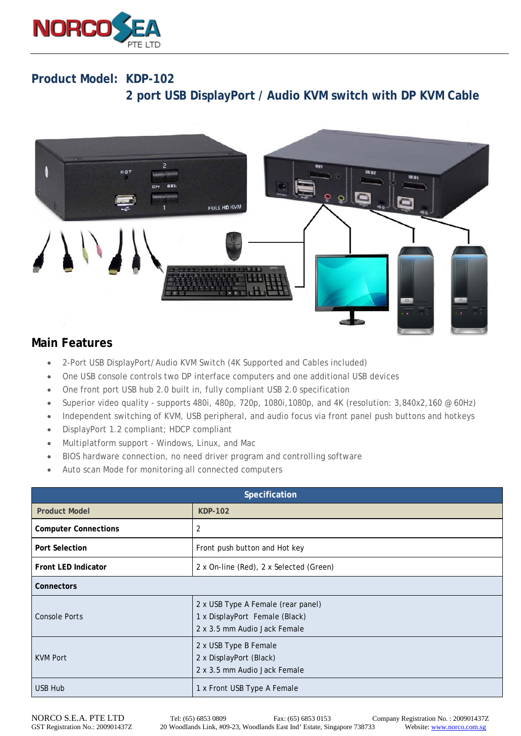

## **Product Model: KDP-102 2 port USB DisplayPort / Audio KVM switch with DP KVM Cable**



## **Main Features**

- 2-Port USB DisplayPort/Audio KVM Switch (4K Supported and Cables included)
- One USB console controls two DP interface computers and one additional USB devices
- One front port USB hub 2.0 built in, fully compliant USB 2.0 specification
- Superior video quality supports 480i, 480p, 720p, 1080i,1080p, and 4K (resolution: 3,840x2,160 @ 60Hz)
- Independent switching of KVM, USB peripheral, and audio focus via front panel push buttons and hotkeys
- DisplayPort 1.2 compliant; HDCP compliant
- Multiplatform support Windows, Linux, and Mac
- BIOS hardware connection, no need driver program and controlling software
- Auto scan Mode for monitoring all connected computers

| Specification               |                                                                                                      |  |
|-----------------------------|------------------------------------------------------------------------------------------------------|--|
| <b>Product Model</b>        | <b>KDP-102</b>                                                                                       |  |
| <b>Computer Connections</b> | 2                                                                                                    |  |
| <b>Port Selection</b>       | Front push button and Hot key                                                                        |  |
| <b>Front LED Indicator</b>  | 2 x On-line (Red), 2 x Selected (Green)                                                              |  |
| Connectors                  |                                                                                                      |  |
| <b>Console Ports</b>        | 2 x USB Type A Female (rear panel)<br>1 x DisplayPort Female (Black)<br>2 x 3.5 mm Audio Jack Female |  |
| <b>KVM Port</b>             | 2 x USB Type B Female<br>2 x DisplayPort (Black)<br>2 x 3.5 mm Audio Jack Female                     |  |
| <b>USB Hub</b>              | 1 x Front USB Type A Female                                                                          |  |